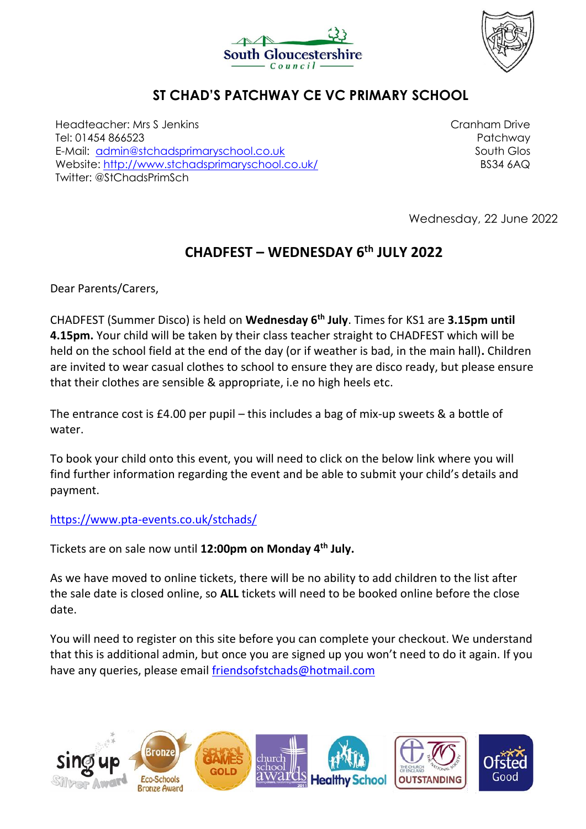



## **ST CHAD'S PATCHWAY CE VC PRIMARY SCHOOL**

Headteacher: Mrs S Jenkins Tel: 01454 866523 E-Mail: [admin@stchadsprimaryschool.co.uk](mailto:admin@stchadsprimaryschool.co.uk) Website:<http://www.stchadsprimaryschool.co.uk/> Twitter: @StChadsPrimSch

Cranham Drive Patchway South Glos BS34 6AQ

Wednesday, 22 June 2022

## **CHADFEST – WEDNESDAY 6th JULY 2022**

Dear Parents/Carers,

CHADFEST (Summer Disco) is held on **Wednesday 6th July**. Times for KS1 are **3.15pm until 4.15pm.** Your child will be taken by their class teacher straight to CHADFEST which will be held on the school field at the end of the day (or if weather is bad, in the main hall)**.** Children are invited to wear casual clothes to school to ensure they are disco ready, but please ensure that their clothes are sensible & appropriate, i.e no high heels etc.

The entrance cost is £4.00 per pupil – this includes a bag of mix-up sweets & a bottle of water.

To book your child onto this event, you will need to click on the below link where you will find further information regarding the event and be able to submit your child's details and payment.

<https://www.pta-events.co.uk/stchads/>

Tickets are on sale now until **12:00pm on Monday 4th July.**

As we have moved to online tickets, there will be no ability to add children to the list after the sale date is closed online, so **ALL** tickets will need to be booked online before the close date.

You will need to register on this site before you can complete your checkout. We understand that this is additional admin, but once you are signed up you won't need to do it again. If you have any queries, please email [friendsofstchads@hotmail.com](mailto:friendsofstchads@hotmail.com)